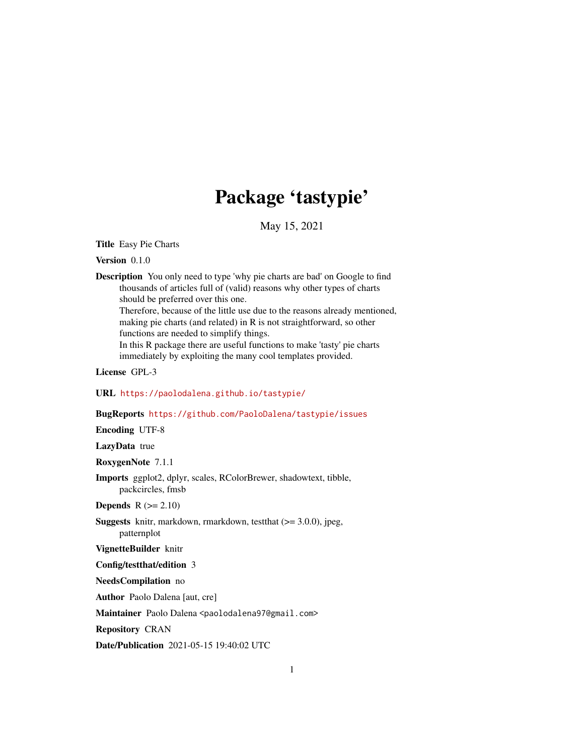# Package 'tastypie'

May 15, 2021

<span id="page-0-0"></span>Title Easy Pie Charts

Version 0.1.0

Description You only need to type 'why pie charts are bad' on Google to find thousands of articles full of (valid) reasons why other types of charts should be preferred over this one. Therefore, because of the little use due to the reasons already mentioned, making pie charts (and related) in R is not straightforward, so other functions are needed to simplify things. In this R package there are useful functions to make 'tasty' pie charts immediately by exploiting the many cool templates provided.

License GPL-3

URL <https://paolodalena.github.io/tastypie/>

BugReports <https://github.com/PaoloDalena/tastypie/issues>

Encoding UTF-8

LazyData true

RoxygenNote 7.1.1

Imports ggplot2, dplyr, scales, RColorBrewer, shadowtext, tibble, packcircles, fmsb

**Depends**  $R$  ( $>= 2.10$ )

**Suggests** knitr, markdown, rmarkdown, test that  $(>= 3.0.0)$ , jpeg, patternplot

VignetteBuilder knitr

Config/testthat/edition 3

NeedsCompilation no

Author Paolo Dalena [aut, cre]

Maintainer Paolo Dalena <paolodalena97@gmail.com>

Repository CRAN

Date/Publication 2021-05-15 19:40:02 UTC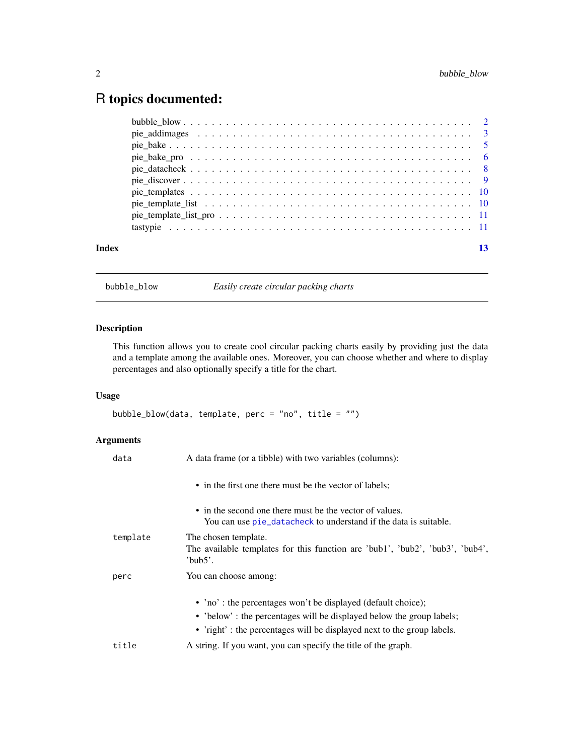## <span id="page-1-0"></span>R topics documented:

| Index |  |
|-------|--|
|       |  |
|       |  |
|       |  |
|       |  |
|       |  |
|       |  |
|       |  |
|       |  |
|       |  |
|       |  |

bubble\_blow *Easily create circular packing charts*

#### Description

This function allows you to create cool circular packing charts easily by providing just the data and a template among the available ones. Moreover, you can choose whether and where to display percentages and also optionally specify a title for the chart.

#### Usage

bubble\_blow(data, template, perc = "no", title = "")

#### Arguments

| data     | A data frame (or a tibble) with two variables (columns):                                                                                                                                                       |
|----------|----------------------------------------------------------------------------------------------------------------------------------------------------------------------------------------------------------------|
|          | • in the first one there must be the vector of labels;                                                                                                                                                         |
|          | • in the second one there must be the vector of values.<br>You can use pie_datacheck to understand if the data is suitable.                                                                                    |
| template | The chosen template.<br>The available templates for this function are 'bub1', 'bub2', 'bub3', 'bub4',<br>'bub5'.                                                                                               |
| perc     | You can choose among:                                                                                                                                                                                          |
|          | • 'no': the percentages won't be displayed (default choice);<br>• 'below': the percentages will be displayed below the group labels;<br>• 'right': the percentages will be displayed next to the group labels. |
| title    | A string. If you want, you can specify the title of the graph.                                                                                                                                                 |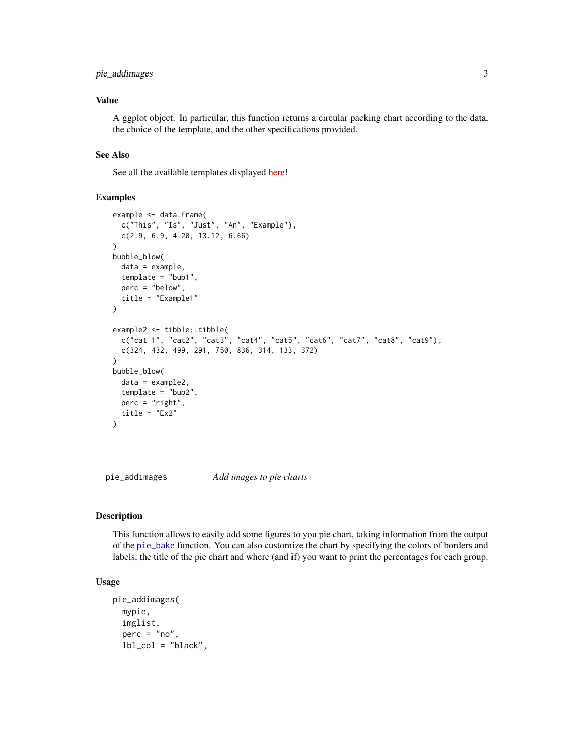#### <span id="page-2-0"></span>pie\_addimages 3

#### Value

A ggplot object. In particular, this function returns a circular packing chart according to the data, the choice of the template, and the other specifications provided.

#### See Also

See all the available templates displayed [here!](https://paolodalena.github.io/tastypie/articles/available_templates.html)

#### Examples

```
example <- data.frame(
  c("This", "Is", "Just", "An", "Example"),
  c(2.9, 6.9, 4.20, 13.12, 6.66)
)
bubble_blow(
  data = example,
  template = "bub1",
  perc = "below",
  title = "Example1"
)
example2 <- tibble::tibble(
  c("cat 1", "cat2", "cat3", "cat4", "cat5", "cat6", "cat7", "cat8", "cat9"),
  c(324, 432, 499, 291, 750, 836, 314, 133, 372)
\lambdabubble_blow(
  data = example2,
  template = "bub2",
  perc = "right",
  title = "Ex2"
\mathcal{L}
```
pie\_addimages *Add images to pie charts*

#### Description

This function allows to easily add some figures to you pie chart, taking information from the output of the [pie\\_bake](#page-4-1) function. You can also customize the chart by specifying the colors of borders and labels, the title of the pie chart and where (and if) you want to print the percentages for each group.

#### Usage

```
pie_addimages(
  mypie,
  imglist,
  perc = "no",lbl_col = "black",
```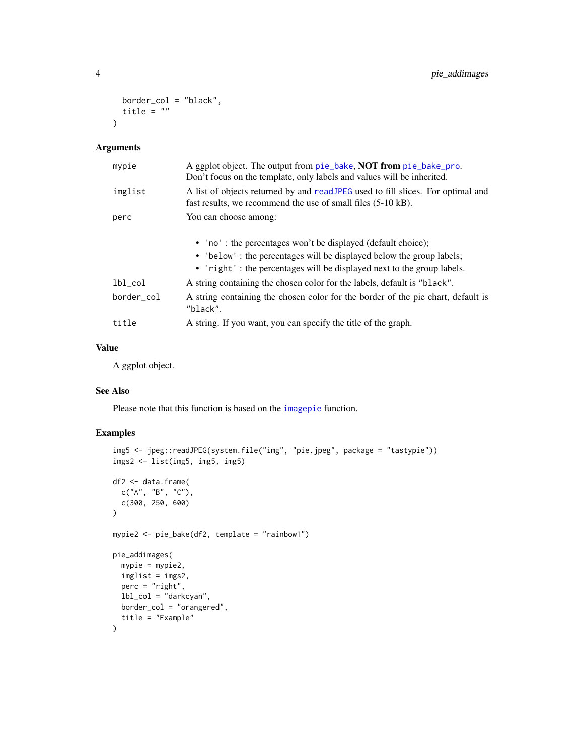```
border\_col = "black",title = ""
\lambda
```
#### Arguments

| mypie      | A ggplot object. The output from pie_bake, <b>NOT from</b> pie_bake_pro.<br>Don't focus on the template, only labels and values will be inherited.                                                             |
|------------|----------------------------------------------------------------------------------------------------------------------------------------------------------------------------------------------------------------|
| imglist    | A list of objects returned by and readJPEG used to fill slices. For optimal and<br>fast results, we recommend the use of small files (5-10 kB).                                                                |
| perc       | You can choose among:                                                                                                                                                                                          |
|            | • 'no': the percentages won't be displayed (default choice);<br>• 'below': the percentages will be displayed below the group labels;<br>• 'right': the percentages will be displayed next to the group labels. |
| $lb1\_col$ | A string containing the chosen color for the labels, default is "black".                                                                                                                                       |
| border_col | A string containing the chosen color for the border of the pie chart, default is<br>"black".                                                                                                                   |
| title      | A string. If you want, you can specify the title of the graph.                                                                                                                                                 |

#### Value

A ggplot object.

#### See Also

Please note that this function is based on the [imagepie](#page-0-0) function.

```
img5 <- jpeg::readJPEG(system.file("img", "pie.jpeg", package = "tastypie"))
imgs2 <- list(img5, img5, img5)
df2 <- data.frame(
 c("A", "B", "C"),
  c(300, 250, 600)
)
mypie2 <- pie_bake(df2, template = "rainbow1")
pie_addimages(
 mypie = mypie2,
 imglist = imgs2,
 perc = "right",
 lbl_col = "darkcyan",
 border_col = "orangered",
  title = "Example"
\mathcal{L}
```
<span id="page-3-0"></span>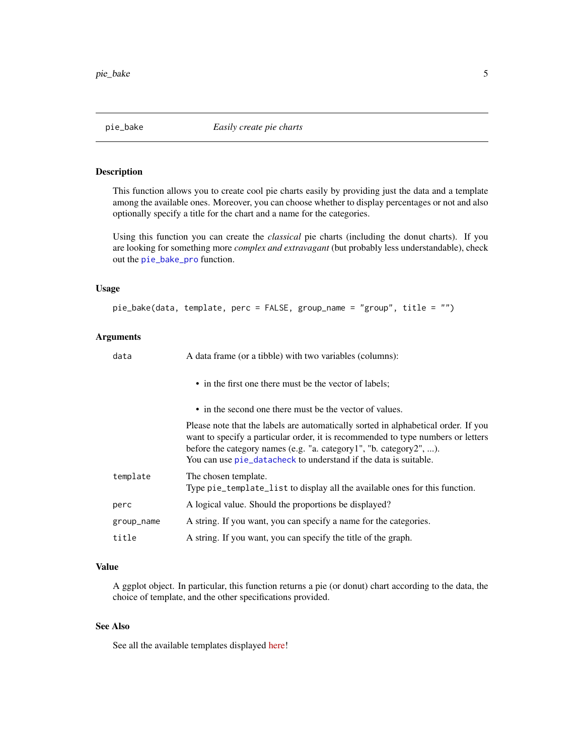<span id="page-4-1"></span><span id="page-4-0"></span>

#### Description

This function allows you to create cool pie charts easily by providing just the data and a template among the available ones. Moreover, you can choose whether to display percentages or not and also optionally specify a title for the chart and a name for the categories.

Using this function you can create the *classical* pie charts (including the donut charts). If you are looking for something more *complex and extravagant* (but probably less understandable), check out the [pie\\_bake\\_pro](#page-5-1) function.

#### Usage

```
pie_bake(data, template, perc = FALSE, group_name = "group", title = "")
```
#### Arguments

| data       | A data frame (or a tibble) with two variables (columns):                                                                                                                                                                                                                                                         |
|------------|------------------------------------------------------------------------------------------------------------------------------------------------------------------------------------------------------------------------------------------------------------------------------------------------------------------|
|            | • in the first one there must be the vector of labels;                                                                                                                                                                                                                                                           |
|            | • in the second one there must be the vector of values.                                                                                                                                                                                                                                                          |
|            | Please note that the labels are automatically sorted in alphabetical order. If you<br>want to specify a particular order, it is recommended to type numbers or letters<br>before the category names (e.g. "a. category1", "b. category2", ).<br>You can use pie_datacheck to understand if the data is suitable. |
| template   | The chosen template.<br>Type pie_template_list to display all the available ones for this function.                                                                                                                                                                                                              |
| perc       | A logical value. Should the proportions be displayed?                                                                                                                                                                                                                                                            |
| group_name | A string. If you want, you can specify a name for the categories.                                                                                                                                                                                                                                                |
| title      | A string. If you want, you can specify the title of the graph.                                                                                                                                                                                                                                                   |

#### Value

A ggplot object. In particular, this function returns a pie (or donut) chart according to the data, the choice of template, and the other specifications provided.

#### See Also

See all the available templates displayed [here!](https://paolodalena.github.io/tastypie/articles/available_templates.html)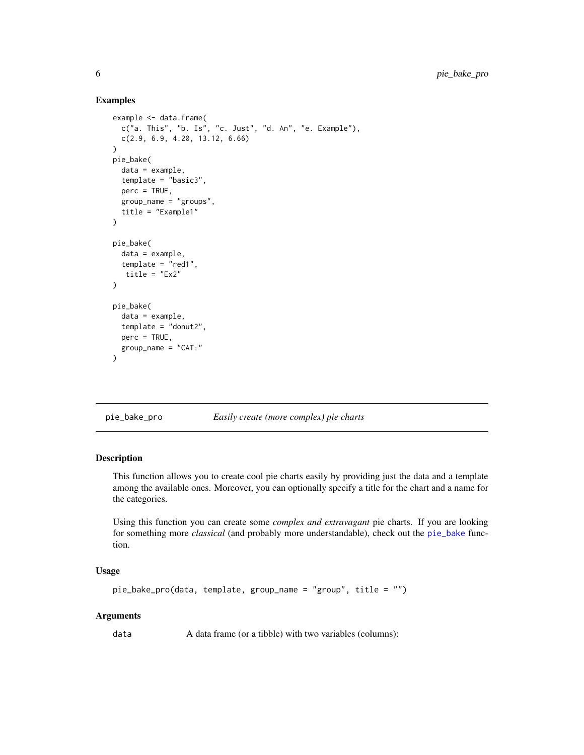#### Examples

```
example <- data.frame(
  c("a. This", "b. Is", "c. Just", "d. An", "e. Example"),
  c(2.9, 6.9, 4.20, 13.12, 6.66)
\lambdapie_bake(
  data = example,
  template = "basic3",
  perc = TRUE,
  group_name = "groups",
  title = "Example1"
)
pie_bake(
  data = example,template = "red1",
   title = "Ex2"
\lambdapie_bake(
  data = example,
  template = "donut2",
  perc = TRUE,
  group_name = "CAT:"
)
```
#### <span id="page-5-1"></span>pie\_bake\_pro *Easily create (more complex) pie charts*

#### Description

This function allows you to create cool pie charts easily by providing just the data and a template among the available ones. Moreover, you can optionally specify a title for the chart and a name for the categories.

Using this function you can create some *complex and extravagant* pie charts. If you are looking for something more *classical* (and probably more understandable), check out the [pie\\_bake](#page-4-1) function.

#### Usage

```
pie_bake_pro(data, template, group_name = "group", title = "")
```
#### Arguments

data A data frame (or a tibble) with two variables (columns):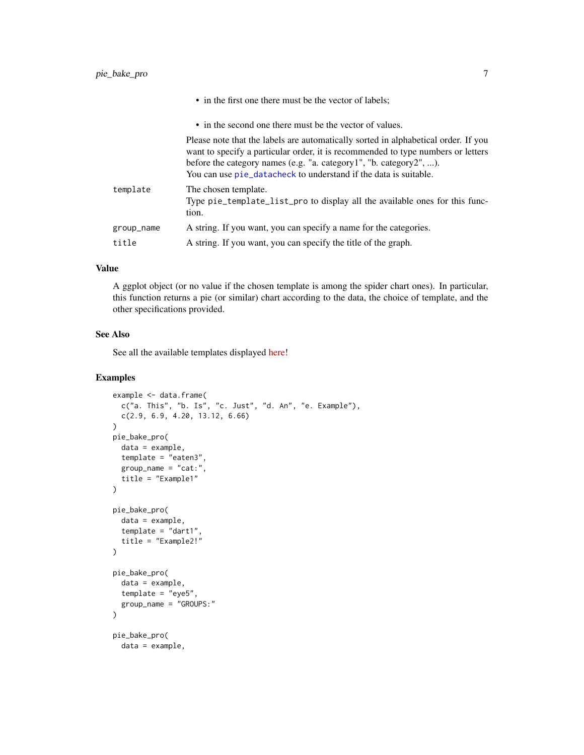<span id="page-6-0"></span>

|            | • in the first one there must be the vector of labels;                                                                                                                                                                                                                                                           |
|------------|------------------------------------------------------------------------------------------------------------------------------------------------------------------------------------------------------------------------------------------------------------------------------------------------------------------|
|            | • in the second one there must be the vector of values.                                                                                                                                                                                                                                                          |
|            | Please note that the labels are automatically sorted in alphabetical order. If you<br>want to specify a particular order, it is recommended to type numbers or letters<br>before the category names (e.g. "a. category1", "b. category2", ).<br>You can use pie_datacheck to understand if the data is suitable. |
| template   | The chosen template.<br>Type pie_template_list_pro to display all the available ones for this func-<br>tion.                                                                                                                                                                                                     |
| group_name | A string. If you want, you can specify a name for the categories.                                                                                                                                                                                                                                                |
| title      | A string. If you want, you can specify the title of the graph.                                                                                                                                                                                                                                                   |

#### Value

A ggplot object (or no value if the chosen template is among the spider chart ones). In particular, this function returns a pie (or similar) chart according to the data, the choice of template, and the other specifications provided.

#### See Also

See all the available templates displayed [here!](https://paolodalena.github.io/tastypie/articles/available_templates.html)

```
example <- data.frame(
  c("a. This", "b. Is", "c. Just", "d. An", "e. Example"),
  c(2.9, 6.9, 4.20, 13.12, 6.66)
\lambdapie_bake_pro(
 data = example,
  template = "eaten3",
  group_name = "cat:",
  title = "Example1"
)
pie_bake_pro(
  data = example,
  template = "dart1",
  title = "Example2!"
\lambdapie_bake_pro(
  data = example,
  template = "eye5",
  group_name = "GROUPS:"
\lambdapie_bake_pro(
 data = example,
```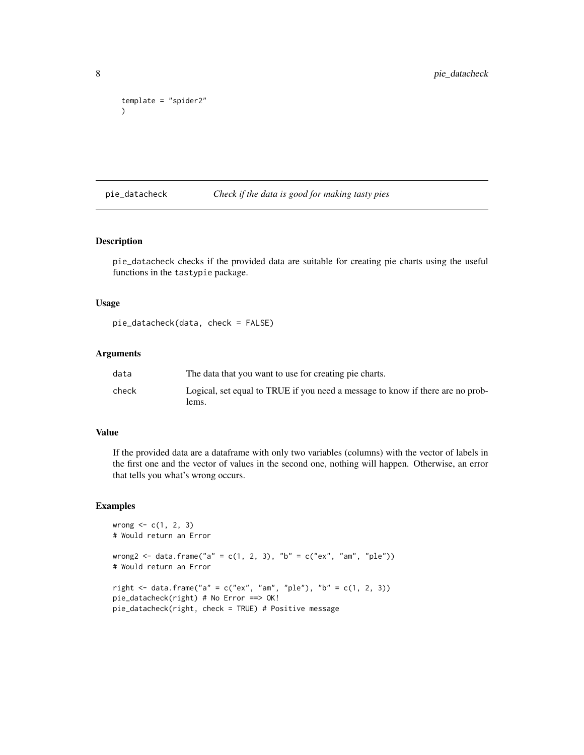```
template = "spider2"
)
```
<span id="page-7-1"></span>pie\_datacheck *Check if the data is good for making tasty pies*

#### Description

pie\_datacheck checks if the provided data are suitable for creating pie charts using the useful functions in the tastypie package.

#### Usage

pie\_datacheck(data, check = FALSE)

#### Arguments

| data  | The data that you want to use for creating pie charts.                                  |
|-------|-----------------------------------------------------------------------------------------|
| check | Logical, set equal to TRUE if you need a message to know if there are no prob-<br>lems. |

#### Value

If the provided data are a dataframe with only two variables (columns) with the vector of labels in the first one and the vector of values in the second one, nothing will happen. Otherwise, an error that tells you what's wrong occurs.

```
wrong <-c(1, 2, 3)# Would return an Error
wrong2 <- data.frame("a" = c(1, 2, 3), "b" = c("ex", "am", "ple"))
# Would return an Error
right <- data.frame("a" = c("ex", "am", "ple"), "b" = c(1, 2, 3))
pie_datacheck(right) # No Error ==> OK!
pie_datacheck(right, check = TRUE) # Positive message
```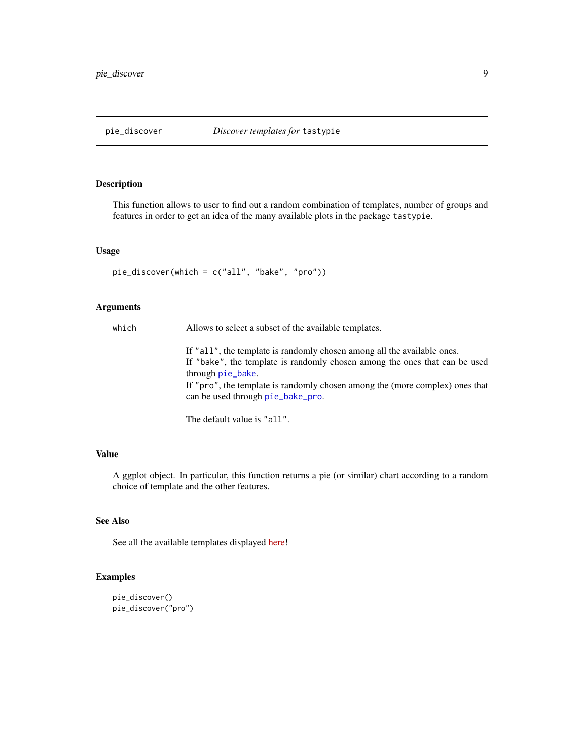<span id="page-8-0"></span>

#### Description

This function allows to user to find out a random combination of templates, number of groups and features in order to get an idea of the many available plots in the package tastypie.

#### Usage

```
pie_discover(which = c("all", "bake", "pro"))
```
#### Arguments

which Allows to select a subset of the available templates.

If "all", the template is randomly chosen among all the available ones. If "bake", the template is randomly chosen among the ones that can be used through [pie\\_bake](#page-4-1). If "pro", the template is randomly chosen among the (more complex) ones that can be used through [pie\\_bake\\_pro](#page-5-1).

The default value is "all".

#### Value

A ggplot object. In particular, this function returns a pie (or similar) chart according to a random choice of template and the other features.

#### See Also

See all the available templates displayed [here!](https://paolodalena.github.io/tastypie/articles/available_templates.html)

```
pie_discover()
pie_discover("pro")
```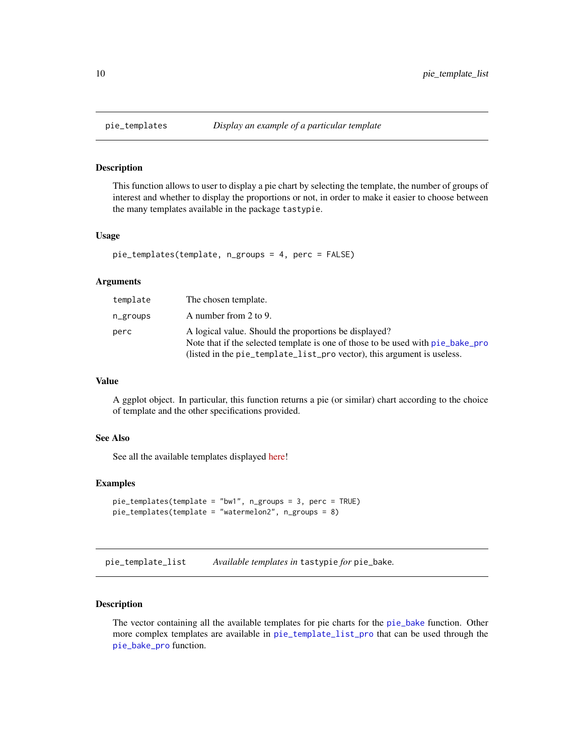<span id="page-9-0"></span>

#### Description

This function allows to user to display a pie chart by selecting the template, the number of groups of interest and whether to display the proportions or not, in order to make it easier to choose between the many templates available in the package tastypie.

#### Usage

```
pie_templates(template, n_groups = 4, perc = FALSE)
```
#### Arguments

| template | The chosen template.                                                                                                                                                                                                |
|----------|---------------------------------------------------------------------------------------------------------------------------------------------------------------------------------------------------------------------|
| n_groups | A number from 2 to 9.                                                                                                                                                                                               |
| perc     | A logical value. Should the proportions be displayed?<br>Note that if the selected template is one of those to be used with pie_bake_pro<br>(listed in the pie_template_list_pro vector), this argument is useless. |

#### Value

A ggplot object. In particular, this function returns a pie (or similar) chart according to the choice of template and the other specifications provided.

#### See Also

See all the available templates displayed [here!](https://paolodalena.github.io/tastypie/articles/available_templates.html)

#### Examples

```
pie_templates(template = "bw1", n_groups = 3, perc = TRUE)
pie_templates(template = "watermelon2", n_groups = 8)
```
<span id="page-9-1"></span>pie\_template\_list *Available templates in* tastypie *for* pie\_bake*.*

#### Description

The vector containing all the available templates for pie charts for the [pie\\_bake](#page-4-1) function. Other more complex templates are available in [pie\\_template\\_list\\_pro](#page-10-1) that can be used through the [pie\\_bake\\_pro](#page-5-1) function.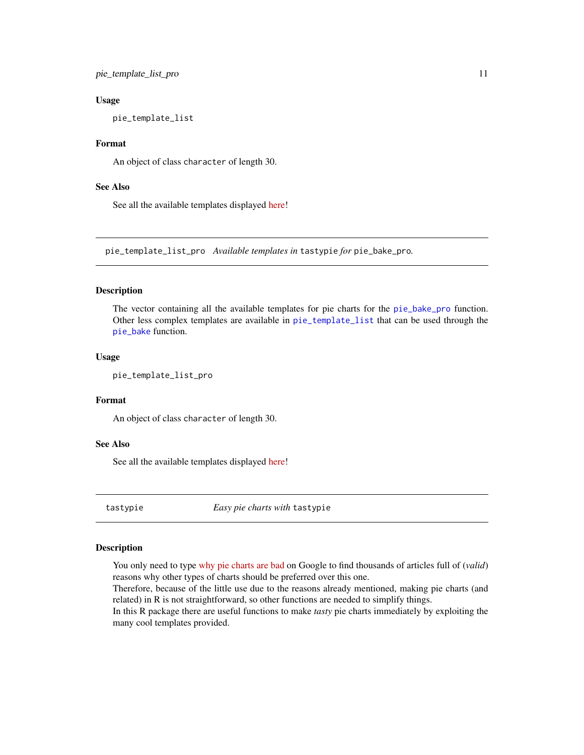#### <span id="page-10-0"></span>Usage

pie\_template\_list

#### Format

An object of class character of length 30.

#### See Also

See all the available templates displayed [here!](https://paolodalena.github.io/tastypie/articles/available_templates.html)

<span id="page-10-1"></span>pie\_template\_list\_pro *Available templates in* tastypie *for* pie\_bake\_pro*.*

#### Description

The vector containing all the available templates for pie charts for the [pie\\_bake\\_pro](#page-5-1) function. Other less complex templates are available in [pie\\_template\\_list](#page-9-1) that can be used through the [pie\\_bake](#page-4-1) function.

#### Usage

pie\_template\_list\_pro

#### Format

An object of class character of length 30.

#### See Also

See all the available templates displayed [here!](https://paolodalena.github.io/tastypie/articles/available_templates.html)

tastypie *Easy pie charts with* tastypie

#### Description

You only need to type [why pie charts are bad](https://www.google.com/search?q=why+pie+charts+are+bad) on Google to find thousands of articles full of (*valid*) reasons why other types of charts should be preferred over this one.

Therefore, because of the little use due to the reasons already mentioned, making pie charts (and related) in R is not straightforward, so other functions are needed to simplify things.

In this R package there are useful functions to make *tasty* pie charts immediately by exploiting the many cool templates provided.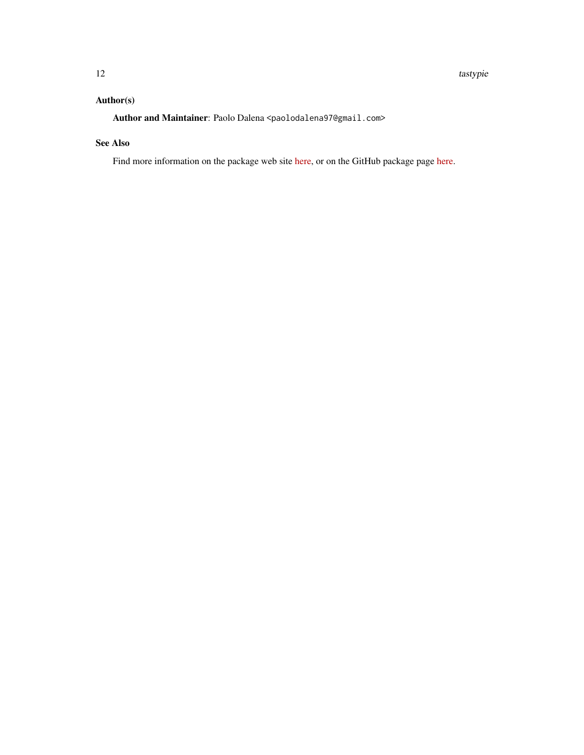### Author(s)

Author and Maintainer: Paolo Dalena <paolodalena97@gmail.com>

#### See Also

Find more information on the package web site [here,](https://paolodalena.github.io/tastypie/) or on the GitHub package page [here.](https://github.com/PaoloDalena/tastypie)